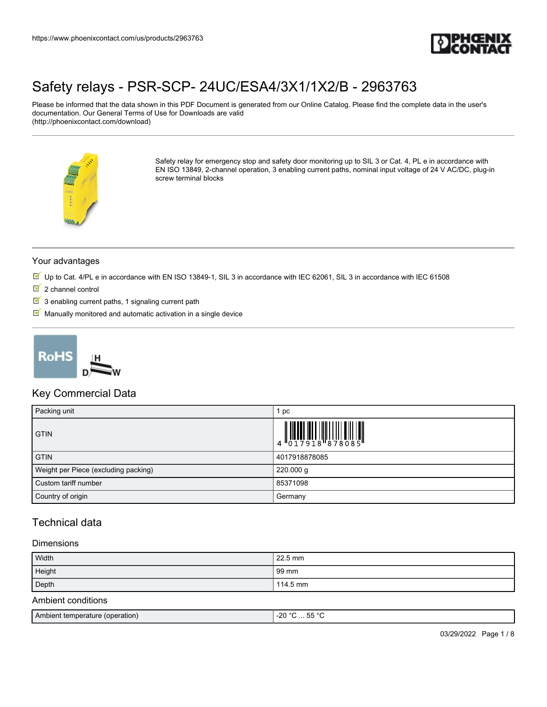

Please be informed that the data shown in this PDF Document is generated from our Online Catalog. Please find the complete data in the user's documentation. Our General Terms of Use for Downloads are valid (http://phoenixcontact.com/download)



Safety relay for emergency stop and safety door monitoring up to SIL 3 or Cat. 4, PL e in accordance with EN ISO 13849, 2-channel operation, 3 enabling current paths, nominal input voltage of 24 V AC/DC, plug-in screw terminal blocks

#### Your advantages

- Up to Cat. 4/PL e in accordance with EN ISO 13849-1, SIL 3 in accordance with IEC 62061, SIL 3 in accordance with IEC 61508
- $2$  channel control
- $\boxed{\blacksquare}$  3 enabling current paths, 1 signaling current path
- $M$  Manually monitored and automatic activation in a single device



### Key Commercial Data

| Packing unit                         | pc                                                                                                                                                                                                                                                                                                                       |
|--------------------------------------|--------------------------------------------------------------------------------------------------------------------------------------------------------------------------------------------------------------------------------------------------------------------------------------------------------------------------|
| <b>GTIN</b>                          | $\begin{array}{c} 1 & 0 & 0 & 0 & 0 \\ 0 & 0 & 1 & 7 & 9 & 1 & 8 \\ 0 & 0 & 1 & 7 & 9 & 1 & 8 \\ 0 & 0 & 0 & 0 & 0 & 8 & 9 \\ 0 & 0 & 0 & 0 & 0 & 0 & 9 \\ 0 & 0 & 0 & 0 & 0 & 0 & 9 \\ 0 & 0 & 0 & 0 & 0 & 0 & 9 \\ 0 & 0 & 0 & 0 & 0 & 0 & 9 \\ 0 & 0 & 0 & 0 & 0 & 0 & 9 & 9 \\ 0 & 0 & 0 & 0 & 0 & 0 & 0 & 9 \\ 0 &$ |
| <b>GTIN</b>                          | 4017918878085                                                                                                                                                                                                                                                                                                            |
| Weight per Piece (excluding packing) | 220.000 g                                                                                                                                                                                                                                                                                                                |
| Custom tariff number                 | 85371098                                                                                                                                                                                                                                                                                                                 |
| Country of origin                    | Germany                                                                                                                                                                                                                                                                                                                  |

### Technical data

#### **Dimensions**

| Width                           | 22.5 mm         |  |
|---------------------------------|-----------------|--|
| Height                          | 99 mm           |  |
| Depth                           | 114.5 mm        |  |
| Ambient conditions              |                 |  |
| Ambient temperature (operation) | $-20 °C  55 °C$ |  |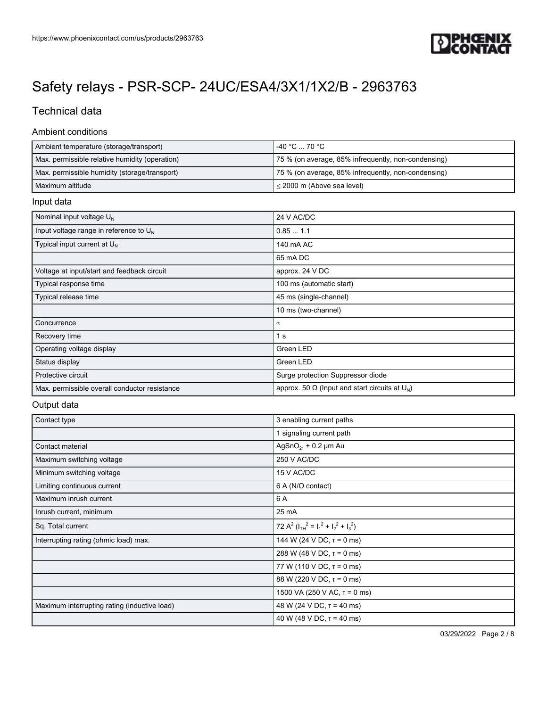

## Technical data

#### Ambient conditions

| Ambient temperature (storage/transport)        | l -40 °C … 70 °C .                                  |
|------------------------------------------------|-----------------------------------------------------|
| Max. permissible relative humidity (operation) | 75 % (on average, 85% infrequently, non-condensing) |
| Max. permissible humidity (storage/transport)  | 75 % (on average, 85% infrequently, non-condensing) |
| l Maximum altitude                             | $\leq$ 2000 m (Above sea level)                     |

#### Input data

| Nominal input voltage $U_N$                   | 24 V AC/DC                                                 |
|-----------------------------------------------|------------------------------------------------------------|
| Input voltage range in reference to $U_N$     | 0.851.1                                                    |
| Typical input current at $U_N$                | 140 mA AC                                                  |
|                                               | 65 mA DC                                                   |
| Voltage at input/start and feedback circuit   | approx. 24 V DC                                            |
| Typical response time                         | 100 ms (automatic start)                                   |
| Typical release time                          | 45 ms (single-channel)                                     |
|                                               | 10 ms (two-channel)                                        |
| Concurrence                                   | $\infty$                                                   |
| Recovery time                                 | 1 <sub>s</sub>                                             |
| Operating voltage display                     | Green LED                                                  |
| Status display                                | Green LED                                                  |
| Protective circuit                            | Surge protection Suppressor diode                          |
| Max. permissible overall conductor resistance | approx. 50 $\Omega$ (lnput and start circuits at $U_{N}$ ) |

#### Output data

| Contact type                                 | 3 enabling current paths                        |
|----------------------------------------------|-------------------------------------------------|
|                                              | 1 signaling current path                        |
| Contact material                             | AgSnO <sub>2</sub> , + 0.2 $\mu$ m Au           |
| Maximum switching voltage                    | 250 V AC/DC                                     |
| Minimum switching voltage                    | 15 V AC/DC                                      |
| Limiting continuous current                  | 6 A (N/O contact)                               |
| Maximum inrush current                       | 6 A                                             |
| Inrush current, minimum                      | 25 mA                                           |
| Sq. Total current                            | 72 $A^2$ ( $I_{TH}^2 = I_1^2 + I_2^2 + I_3^2$ ) |
| Interrupting rating (ohmic load) max.        | 144 W (24 V DC, $\tau$ = 0 ms)                  |
|                                              | 288 W (48 V DC, $\tau$ = 0 ms)                  |
|                                              | 77 W (110 V DC, $\tau$ = 0 ms)                  |
|                                              | 88 W (220 V DC, $\tau$ = 0 ms)                  |
|                                              | 1500 VA (250 V AC, $\tau$ = 0 ms)               |
| Maximum interrupting rating (inductive load) | 48 W (24 V DC, $\tau$ = 40 ms)                  |
|                                              | 40 W (48 V DC, $T = 40$ ms)                     |

03/29/2022 Page 2 / 8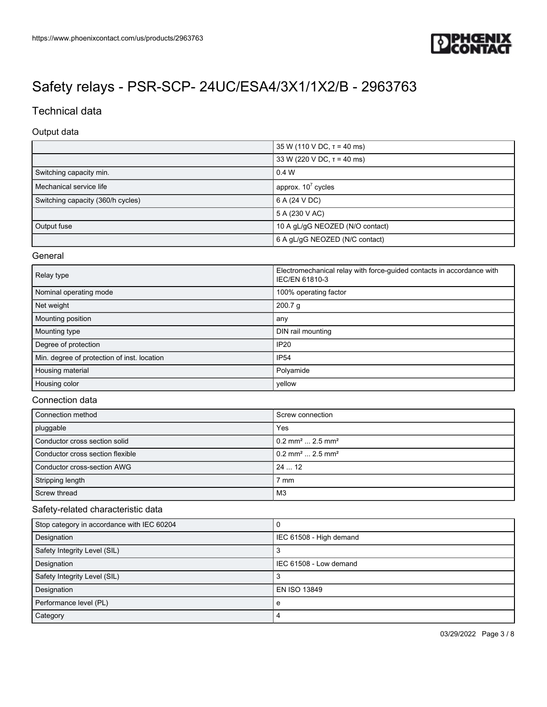

## Technical data

#### Output data

|                                   | 35 W (110 V DC, $\tau$ = 40 ms) |
|-----------------------------------|---------------------------------|
|                                   | 33 W (220 V DC, $T = 40$ ms)    |
| Switching capacity min.           | 0.4 W                           |
| Mechanical service life           | approx. $10^7$ cycles           |
| Switching capacity (360/h cycles) | 6 A (24 V DC)                   |
|                                   | 5 A (230 V AC)                  |
| Output fuse                       | 10 A gL/gG NEOZED (N/O contact) |
|                                   | 6 A gL/gG NEOZED (N/C contact)  |

#### General

| Relay type                                  | Electromechanical relay with force-guided contacts in accordance with<br><b>IEC/EN 61810-3</b> |
|---------------------------------------------|------------------------------------------------------------------------------------------------|
| Nominal operating mode                      | 100% operating factor                                                                          |
| Net weight                                  | 200.7 g                                                                                        |
| Mounting position                           | any                                                                                            |
| Mounting type                               | DIN rail mounting                                                                              |
| Degree of protection                        | <b>IP20</b>                                                                                    |
| Min. degree of protection of inst. location | <b>IP54</b>                                                                                    |
| Housing material                            | Polyamide                                                                                      |
| Housing color                               | yellow                                                                                         |

#### Connection data

| Connection method                | Screw connection                           |
|----------------------------------|--------------------------------------------|
| pluggable                        | Yes                                        |
| Conductor cross section solid    | $10.2$ mm <sup>2</sup> 2.5 mm <sup>2</sup> |
| Conductor cross section flexible | $10.2$ mm <sup>2</sup> 2.5 mm <sup>2</sup> |
| Conductor cross-section AWG      | 2412                                       |
| Stripping length                 | $7 \text{ mm}$                             |
| Screw thread                     | M <sub>3</sub>                             |

#### Safety-related characteristic data

| Stop category in accordance with IEC 60204 | υ                       |
|--------------------------------------------|-------------------------|
| Designation                                | IEC 61508 - High demand |
| Safety Integrity Level (SIL)               |                         |
| Designation                                | IEC 61508 - Low demand  |
| Safety Integrity Level (SIL)               |                         |
| Designation                                | EN ISO 13849            |
| Performance level (PL)                     | e                       |
| Category                                   | 4                       |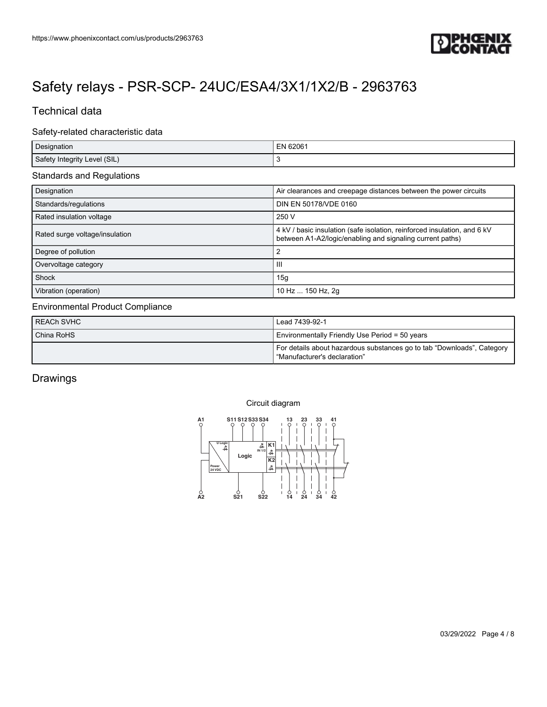

### Technical data

#### Safety-related characteristic data

| Designation                  | EN 62061 |
|------------------------------|----------|
| Safety Integrity Level (SIL) |          |

#### Standards and Regulations

| Designation                    | Air clearances and creepage distances between the power circuits                                                                      |
|--------------------------------|---------------------------------------------------------------------------------------------------------------------------------------|
| Standards/regulations          | DIN EN 50178/VDE 0160                                                                                                                 |
| Rated insulation voltage       | 250 V                                                                                                                                 |
| Rated surge voltage/insulation | 4 kV / basic insulation (safe isolation, reinforced insulation, and 6 kV<br>between A1-A2/logic/enabling and signaling current paths) |
| Degree of pollution            |                                                                                                                                       |
| Overvoltage category           | Ш                                                                                                                                     |
| Shock                          | 15g                                                                                                                                   |
| Vibration (operation)          | 10 Hz  150 Hz, 2g                                                                                                                     |

#### Environmental Product Compliance

| REACh SVHC | Lead 7439-92-1                                                                                         |
|------------|--------------------------------------------------------------------------------------------------------|
| China RoHS | Environmentally Friendly Use Period = 50 years                                                         |
|            | For details about hazardous substances go to tab "Downloads", Category<br>"Manufacturer's declaration" |

### Drawings

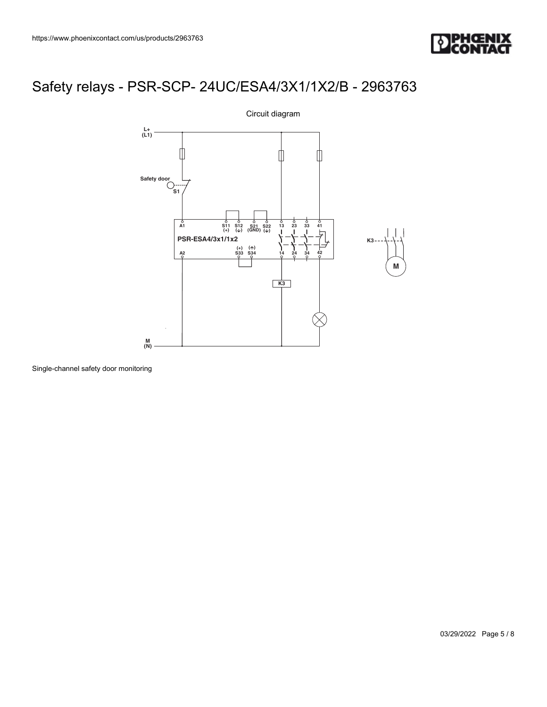



Single-channel safety door monitoring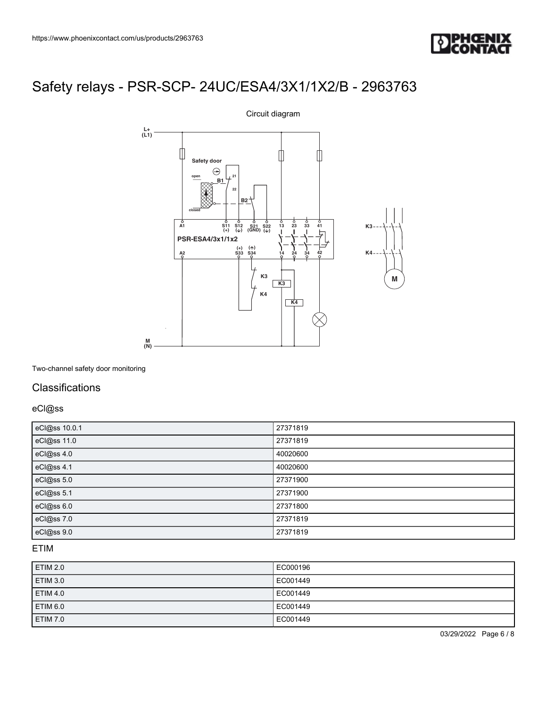



Two-channel safety door monitoring

### **Classifications**

eCl@ss

| eCl@ss 10.0.1 | 27371819 |
|---------------|----------|
| eCl@ss 11.0   | 27371819 |
| eCl@ss 4.0    | 40020600 |
| eCl@ss 4.1    | 40020600 |
| eCl@ss 5.0    | 27371900 |
| eCl@ss 5.1    | 27371900 |
| eCl@ss 6.0    | 27371800 |
| eCl@ss 7.0    | 27371819 |
| eCl@ss 9.0    | 27371819 |

### ETIM

| ETIM 2.0        | EC000196 |
|-----------------|----------|
| ETIM 3.0        | EC001449 |
| <b>ETIM 4.0</b> | EC001449 |
| ETIM 6.0        | EC001449 |
| ETIM 7.0        | EC001449 |

03/29/2022 Page 6 / 8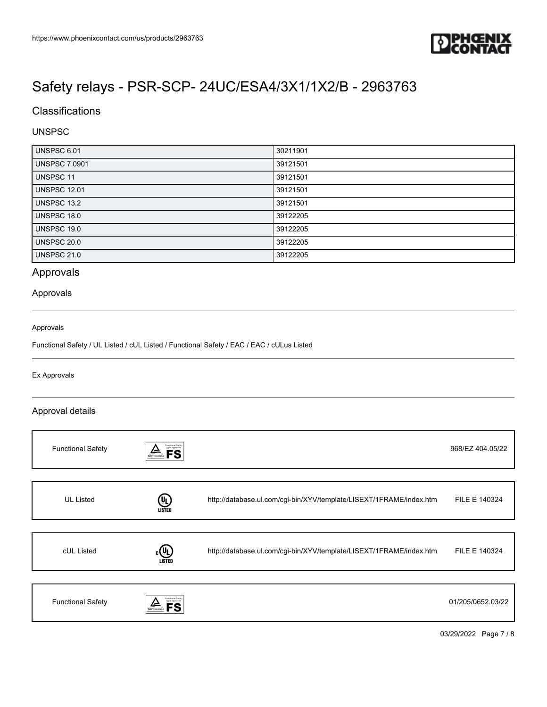

## **Classifications**

#### UNSPSC

| UNSPSC 6.01          | 30211901 |
|----------------------|----------|
| <b>UNSPSC 7.0901</b> | 39121501 |
| <b>UNSPSC 11</b>     | 39121501 |
| <b>UNSPSC 12.01</b>  | 39121501 |
| UNSPSC 13.2          | 39121501 |
| UNSPSC 18.0          | 39122205 |
| UNSPSC 19.0          | 39122205 |
| <b>UNSPSC 20.0</b>   | 39122205 |
| <b>UNSPSC 21.0</b>   | 39122205 |

### Approvals

#### Approvals

#### Approvals

Functional Safety / UL Listed / cUL Listed / Functional Safety / EAC / EAC / cULus Listed

#### Ex Approvals

#### Approval details

| <b>Functional Safety</b> | Functional Safety<br>Type Approved<br>TÜVRheinland |                                                                     | 968/EZ 404.05/22  |
|--------------------------|----------------------------------------------------|---------------------------------------------------------------------|-------------------|
|                          |                                                    |                                                                     |                   |
| <b>UL Listed</b>         | (U)<br><b>LISTED</b>                               | http://database.ul.com/cgi-bin/XYV/template/LISEXT/1FRAME/index.htm | FILE E 140324     |
|                          |                                                    |                                                                     |                   |
| cUL Listed               | (VL<br><b>LISTED</b>                               | http://database.ul.com/cgi-bin/XYV/template/LISEXT/1FRAME/index.htm | FILE E 140324     |
|                          |                                                    |                                                                     |                   |
| <b>Functional Safety</b> | Functional Safety<br>Type Approved                 |                                                                     | 01/205/0652.03/22 |

03/29/2022 Page 7 / 8